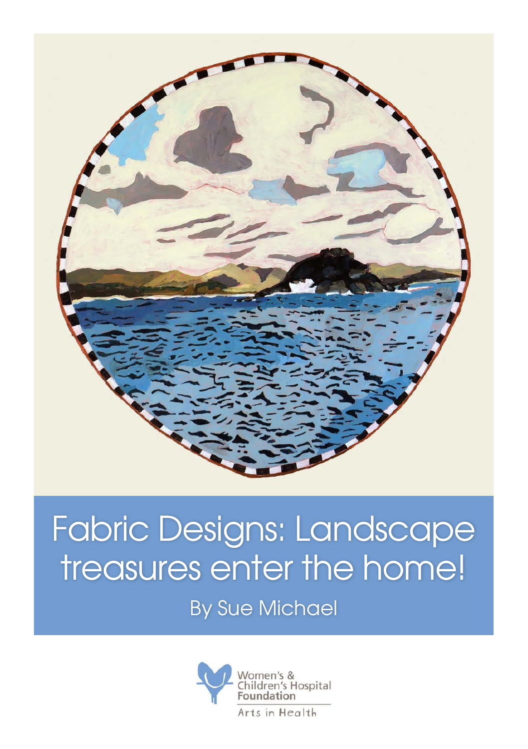

## Fabric Designs: Landscape treasures enter the home!

By Sue Michael

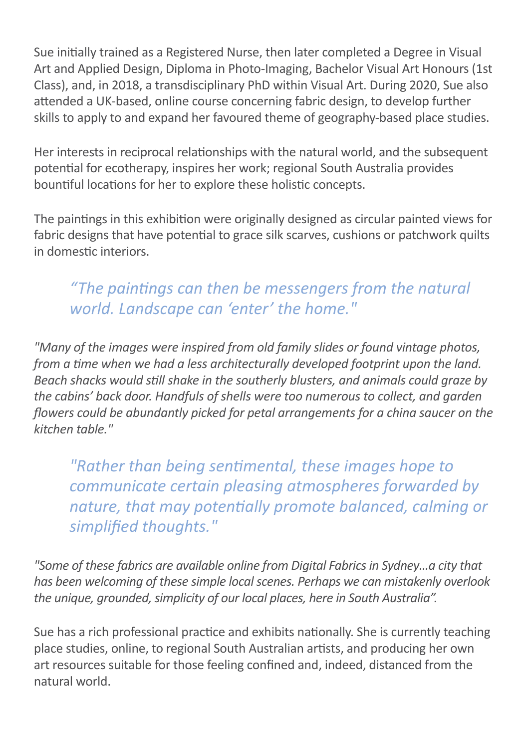Sue initially trained as a Registered Nurse, then later completed a Degree in Visual Art and Applied Design, Diploma in Photo-Imaging, Bachelor Visual Art Honours (1st Class), and, in 2018, a transdisciplinary PhD within Visual Art. During 2020, Sue also attended a UK-based, online course concerning fabric design, to develop further skills to apply to and expand her favoured theme of geography-based place studies.

Her interests in reciprocal relationships with the natural world, and the subsequent potential for ecotherapy, inspires her work; regional South Australia provides bountiful locations for her to explore these holistic concepts.

The paintings in this exhibition were originally designed as circular painted views for fabric designs that have potential to grace silk scarves, cushions or patchwork quilts in domestic interiors.

## *"The paintings can then be messengers from the natural world. Landscape can 'enter' the home."*

*"Many of the images were inspired from old family slides or found vintage photos, from a time when we had a less architecturally developed footprint upon the land. Beach shacks would still shake in the southerly blusters, and animals could graze by the cabins' back door. Handfuls of shells were too numerous to collect, and garden flowers could be abundantly picked for petal arrangements for a china saucer on the kitchen table."*

*"Rather than being sentimental, these images hope to communicate certain pleasing atmospheres forwarded by nature, that may potentially promote balanced, calming or simplified thoughts."* 

*"Some of these fabrics are available online from Digital Fabrics in Sydney…a city that has been welcoming of these simple local scenes. Perhaps we can mistakenly overlook the unique, grounded, simplicity of our local places, here in South Australia".*

Sue has a rich professional practice and exhibits nationally. She is currently teaching place studies, online, to regional South Australian artists, and producing her own art resources suitable for those feeling confined and, indeed, distanced from the natural world.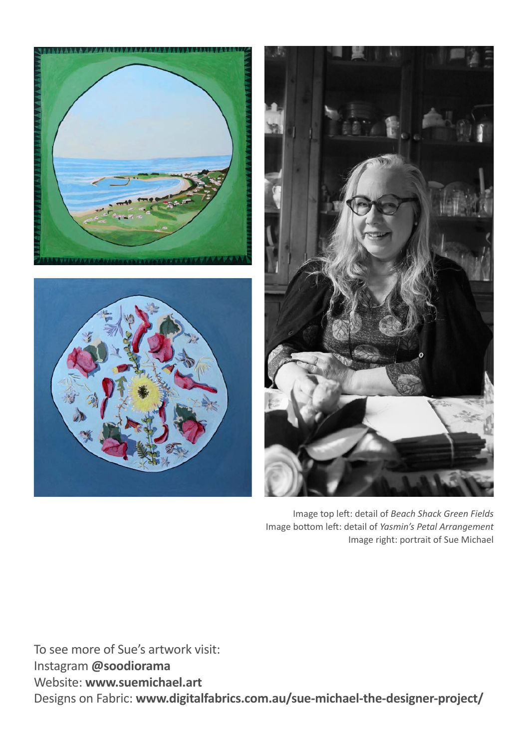





Image top left: detail of *Beach Shack Green Fields* Image bottom left: detail of *Yasmin's Petal Arrangement* Image right: portrait of Sue Michael

To see more of Sue's artwork visit: Instagram **@soodiorama**  Website: **www.suemichael.art**  Designs on Fabric: **www.digitalfabrics.com.au/sue-michael-the-designer-project/**